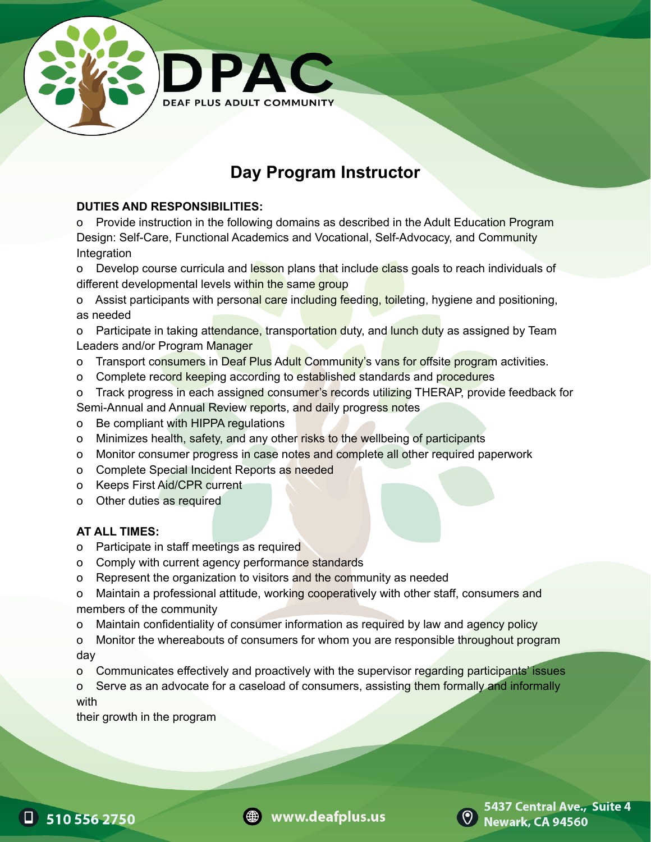

# **Day Program Instructor**

#### **DUTIES AND RESPONSIBILITIES:**

o Provide instruction in the following domains as described in the Adult Education Program Design: Self-Care, Functional Academics and Vocational, Self-Advocacy, and Community Integration

o Develop course curricula and lesson plans that include class goals to reach individuals of different developmental levels within the same group

o Assist participants with personal care including feeding, toileting, hygiene and positioning, as needed

o Participate in taking attendance, transportation duty, and lunch duty as assigned by Team Leaders and/or Program Manager

- o Transport consumers in Deaf Plus Adult Community's vans for offsite program activities.
- o Complete record keeping according to established standards and procedures
- o Track progress in each assigned consumer's records utilizing THERAP, provide feedback for Semi-Annual and Annual Review reports, and daily progress notes
- o Be compliant with HIPPA regulations
- o Minimizes health, safety, and any other risks to the wellbeing of participants
- o Monitor consumer progress in case notes and complete all other required paperwork
- o Complete Special Incident Reports as needed
- o Keeps First Aid/CPR current
- o Other duties as required

### **AT ALL TIMES:**

- o Participate in staff meetings as required
- o Comply with current agency performance standards
- o Represent the organization to visitors and the community as needed

o Maintain a professional attitude, working cooperatively with other staff, consumers and members of the community

- o Maintain confidentiality of consumer information as required by law and agency policy
- o Monitor the whereabouts of consumers for whom you are responsible throughout program day
- o Communicates effectively and proactively with the supervisor regarding participants' issues
- o Serve as an advocate for a caseload of consumers, assisting them formally and informally with

their growth in the program







5437 Central Ave., Suite 4 **Newark, CA 94560**